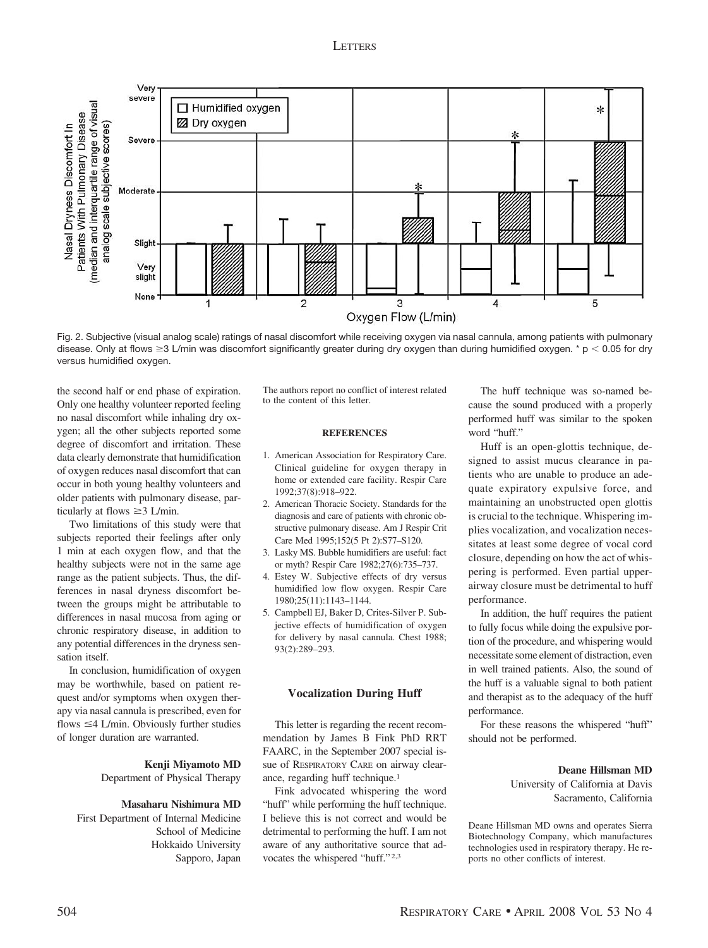# **LETTERS**



Fig. 2. Subjective (visual analog scale) ratings of nasal discomfort while receiving oxygen via nasal cannula, among patients with pulmonary disease. Only at flows  $\geq$ 3 L/min was discomfort significantly greater during dry oxygen than during humidified oxygen. \* p < 0.05 for dry versus humidified oxygen.

the second half or end phase of expiration. Only one healthy volunteer reported feeling no nasal discomfort while inhaling dry oxygen; all the other subjects reported some degree of discomfort and irritation. These data clearly demonstrate that humidification of oxygen reduces nasal discomfort that can occur in both young healthy volunteers and older patients with pulmonary disease, particularly at flows  $\geq$  3 L/min.

Two limitations of this study were that subjects reported their feelings after only 1 min at each oxygen flow, and that the healthy subjects were not in the same age range as the patient subjects. Thus, the differences in nasal dryness discomfort between the groups might be attributable to differences in nasal mucosa from aging or chronic respiratory disease, in addition to any potential differences in the dryness sensation itself.

In conclusion, humidification of oxygen may be worthwhile, based on patient request and/or symptoms when oxygen therapy via nasal cannula is prescribed, even for flows  $\leq$  4 L/min. Obviously further studies of longer duration are warranted.

> **Kenji Miyamoto MD** Department of Physical Therapy

#### **Masaharu Nishimura MD**

First Department of Internal Medicine School of Medicine Hokkaido University Sapporo, Japan The authors report no conflict of interest related to the content of this letter.

### **REFERENCES**

- 1. American Association for Respiratory Care. Clinical guideline for oxygen therapy in home or extended care facility. Respir Care 1992;37(8):918–922.
- 2. American Thoracic Society. Standards for the diagnosis and care of patients with chronic obstructive pulmonary disease. Am J Respir Crit Care Med 1995;152(5 Pt 2):S77–S120.
- 3. Lasky MS. Bubble humidifiers are useful: fact or myth? Respir Care 1982;27(6):735–737.
- 4. Estey W. Subjective effects of dry versus humidified low flow oxygen. Respir Care 1980;25(11):1143–1144.
- 5. Campbell EJ, Baker D, Crites-Silver P. Subjective effects of humidification of oxygen for delivery by nasal cannula. Chest 1988; 93(2):289–293.

## **Vocalization During Huff**

This letter is regarding the recent recommendation by James B Fink PhD RRT FAARC, in the September 2007 special issue of RESPIRATORY CARE on airway clearance, regarding huff technique.1

Fink advocated whispering the word "huff" while performing the huff technique. I believe this is not correct and would be detrimental to performing the huff. I am not aware of any authoritative source that advocates the whispered "huff." 2,3

The huff technique was so-named because the sound produced with a properly performed huff was similar to the spoken word "huff."

Huff is an open-glottis technique, designed to assist mucus clearance in patients who are unable to produce an adequate expiratory expulsive force, and maintaining an unobstructed open glottis is crucial to the technique. Whispering implies vocalization, and vocalization necessitates at least some degree of vocal cord closure, depending on how the act of whispering is performed. Even partial upperairway closure must be detrimental to huff performance.

In addition, the huff requires the patient to fully focus while doing the expulsive portion of the procedure, and whispering would necessitate some element of distraction, even in well trained patients. Also, the sound of the huff is a valuable signal to both patient and therapist as to the adequacy of the huff performance.

For these reasons the whispered "huff" should not be performed.

# **Deane Hillsman MD**

University of California at Davis Sacramento, California

Deane Hillsman MD owns and operates Sierra Biotechnology Company, which manufactures technologies used in respiratory therapy. He reports no other conflicts of interest.